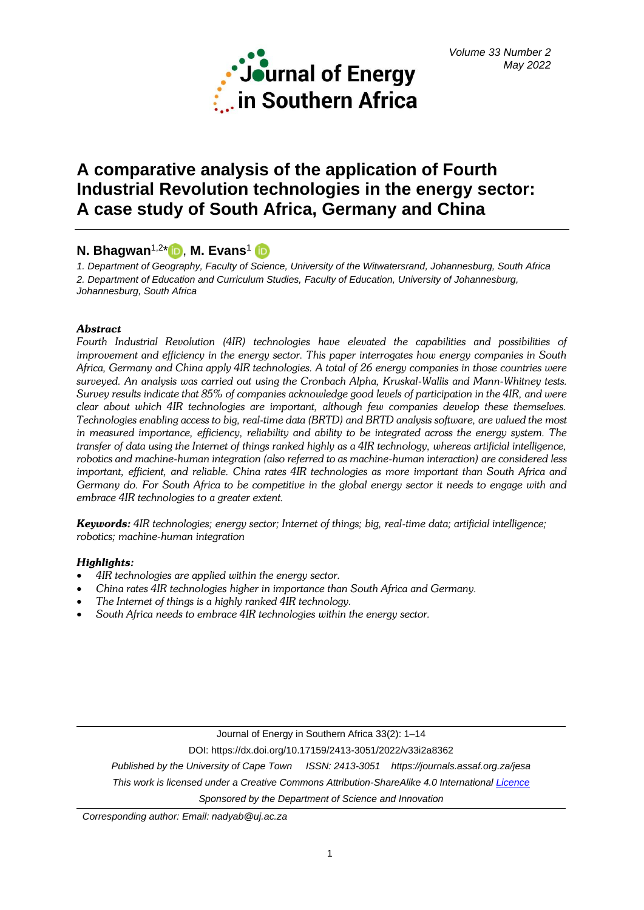

# **A comparative analysis of the application of Fourth Industrial Revolution technologies in the energy sector: A case study of South Africa, Germany and China**

## **N. Bhagwan**1,2 [\\*](https://orcid.org/0000-0002-8583-7541) , **M. Evans**<sup>1</sup>

*1. Department of Geography, Faculty of Science, University of the Witwatersrand, Johannesburg, South Africa 2. Department of Education and Curriculum Studies, Faculty of Education, University of Johannesburg, Johannesburg, South Africa*

## *Abstract*

*Fourth Industrial Revolution (4IR) technologies have elevated the capabilities and possibilities of improvement and efficiency in the energy sector. This paper interrogates how energy companies in South Africa, Germany and China apply 4IR technologies. A total of 26 energy companies in those countries were surveyed. An analysis was carried out using the Cronbach Alpha, Kruskal-Wallis and Mann-Whitney tests. Survey results indicate that 85% of companies acknowledge good levels of participation in the 4IR, and were clear about which 4IR technologies are important, although few companies develop these themselves. Technologies enabling access to big, real-time data (BRTD) and BRTD analysis software, are valued the most in measured importance, efficiency, reliability and ability to be integrated across the energy system. The transfer of data using the Internet of things ranked highly as a 4IR technology, whereas artificial intelligence, robotics and machine-human integration (also referred to as machine-human interaction) are considered less important, efficient, and reliable. China rates 4IR technologies as more important than South Africa and Germany do. For South Africa to be competitive in the global energy sector it needs to engage with and embrace 4IR technologies to a greater extent.*

*Keywords: 4IR technologies; energy sector; Internet of things; big, real-time data; artificial intelligence; robotics; machine-human integration*

## *Highlights:*

- *4IR technologies are applied within the energy sector.*
- *China rates 4IR technologies higher in importance than South Africa and Germany.*
- *The Internet of things is a highly ranked 4IR technology.*
- *South Africa needs to embrace 4IR technologies within the energy sector.*

Journal of Energy in Southern Africa 33(2): 1–14

DOI: https://dx.doi.org/10.17159/2413-3051/2022/v33i2a8362

*Published by the University of Cape Town ISSN: 2413-3051 https://journals.assaf.org.za/jesa*

*This work is licensed under a Creative Commons Attribution-ShareAlike 4.0 Internationa[l Licence](https://creativecommons.org/licenses/by-sa/4.0/)*

*Sponsored by the Department of Science and Innovation*

*Corresponding author: Email: [nadyab@uj.ac.za](mailto:nadyab@uj.ac.za)*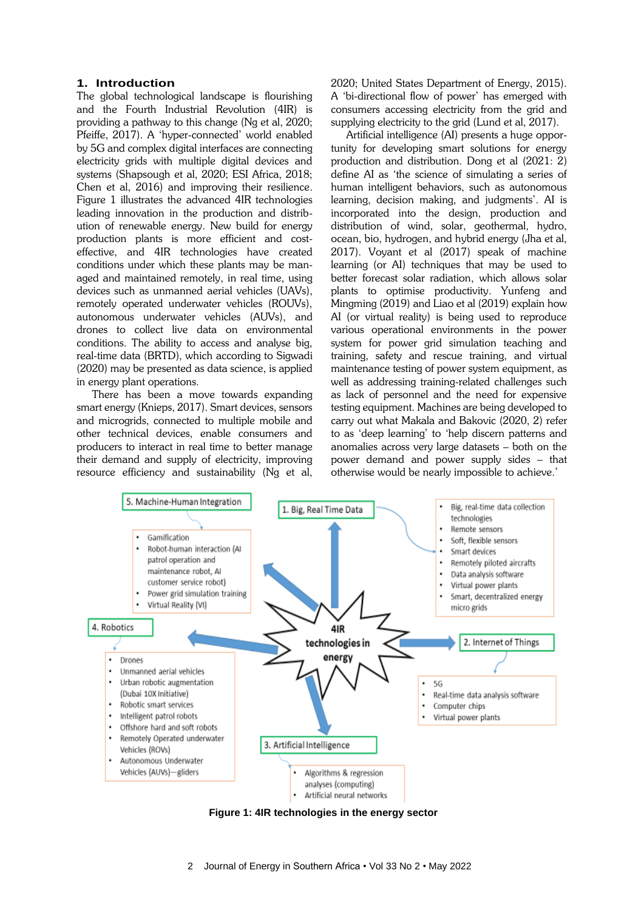#### **1. Introduction**

The global technological landscape is flourishing and the Fourth Industrial Revolution (4IR) is providing a pathway to this change (Ng et al, 2020; Pfeiffe, 2017). A 'hyper-connected' world enabled by 5G and complex digital interfaces are connecting electricity grids with multiple digital devices and systems (Shapsough et al, 2020; ESI Africa, 2018; Chen et al, 2016) and improving their resilience. Figure 1 illustrates the advanced 4IR technologies leading innovation in the production and distribution of renewable energy. New build for energy production plants is more efficient and costeffective, and 4IR technologies have created conditions under which these plants may be managed and maintained remotely, in real time, using devices such as unmanned aerial vehicles (UAVs), remotely operated underwater vehicles (ROUVs), autonomous underwater vehicles (AUVs), and drones to collect live data on environmental conditions. The ability to access and analyse big, real-time data (BRTD), which according to Sigwadi (2020) may be presented as data science, is applied in energy plant operations.

There has been a move towards expanding smart energy (Knieps, 2017). Smart devices, sensors and microgrids, connected to multiple mobile and other technical devices, enable consumers and producers to interact in real time to better manage their demand and supply of electricity, improving resource efficiency and sustainability (Ng et al, 2020; United States Department of Energy, 2015). A 'bi-directional flow of power' has emerged with consumers accessing electricity from the grid and supplying electricity to the grid (Lund et al, 2017).

Artificial intelligence (AI) presents a huge opportunity for developing smart solutions for energy production and distribution. Dong et al (2021: 2) define AI as 'the science of simulating a series of human intelligent behaviors, such as autonomous learning, decision making, and judgments'. AI is incorporated into the design, production and distribution of wind, solar, geothermal, hydro, ocean, bio, hydrogen, and hybrid energy (Jha et al, 2017). Voyant et al (2017) speak of machine learning (or AI) techniques that may be used to better forecast solar radiation, which allows solar plants to optimise productivity. Yunfeng and Mingming (2019) and Liao et al (2019) explain how AI (or virtual reality) is being used to reproduce various operational environments in the power system for power grid simulation teaching and training, safety and rescue training, and virtual maintenance testing of power system equipment, as well as addressing training-related challenges such as lack of personnel and the need for expensive testing equipment. Machines are being developed to carry out what Makala and Bakovic (2020, 2) refer to as 'deep learning' to 'help discern patterns and anomalies across very large datasets – both on the power demand and power supply sides – that otherwise would be nearly impossible to achieve.'



**Figure 1: 4IR technologies in the energy sector**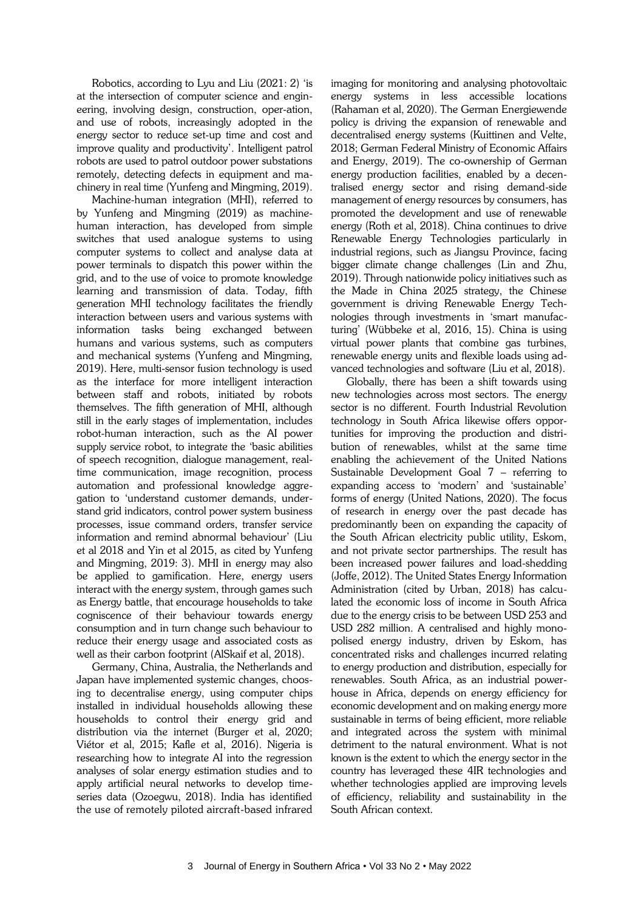Robotics, according to Lyu and Liu (2021: 2) 'is at the intersection of computer science and engineering, involving design, construction, oper-ation, and use of robots, increasingly adopted in the energy sector to reduce set-up time and cost and improve quality and productivity'. Intelligent patrol robots are used to patrol outdoor power substations remotely, detecting defects in equipment and machinery in real time (Yunfeng and Mingming, 2019).

Machine-human integration (MHI), referred to by Yunfeng and Mingming (2019) as machinehuman interaction, has developed from simple switches that used analogue systems to using computer systems to collect and analyse data at power terminals to dispatch this power within the grid, and to the use of voice to promote knowledge learning and transmission of data. Today, fifth generation MHI technology facilitates the friendly interaction between users and various systems with information tasks being exchanged between humans and various systems, such as computers and mechanical systems (Yunfeng and Mingming, 2019). Here, multi-sensor fusion technology is used as the interface for more intelligent interaction between staff and robots, initiated by robots themselves. The fifth generation of MHI, although still in the early stages of implementation, includes robot-human interaction, such as the AI power supply service robot, to integrate the 'basic abilities of speech recognition, dialogue management, realtime communication, image recognition, process automation and professional knowledge aggregation to 'understand customer demands, understand grid indicators, control power system business processes, issue command orders, transfer service information and remind abnormal behaviour' (Liu et al 2018 and Yin et al 2015, as cited by Yunfeng and Mingming, 2019: 3). MHI in energy may also be applied to gamification. Here, energy users interact with the energy system, through games such as Energy battle, that encourage households to take cogniscence of their behaviour towards energy consumption and in turn change such behaviour to reduce their energy usage and associated costs as well as their carbon footprint (AlSkaif et al, 2018).

Germany, China, Australia, the Netherlands and Japan have implemented systemic changes, choosing to decentralise energy, using computer chips installed in individual households allowing these households to control their energy grid and distribution via the internet (Burger et al, 2020; Viétor et al, 2015; Kafle et al, 2016). Nigeria is researching how to integrate AI into the regression analyses of solar energy estimation studies and to apply artificial neural networks to develop timeseries data (Ozoegwu, 2018). India has identified the use of remotely piloted aircraft-based infrared

imaging for monitoring and analysing photovoltaic energy systems in less accessible locations (Rahaman et al, 2020). The German Energiewende policy is driving the expansion of renewable and decentralised energy systems (Kuittinen and Velte, 2018; German Federal Ministry of Economic Affairs and Energy, 2019). The co-ownership of German energy production facilities, enabled by a decentralised energy sector and rising demand-side management of energy resources by consumers, has promoted the development and use of renewable energy (Roth et al, 2018). China continues to drive Renewable Energy Technologies particularly in industrial regions, such as Jiangsu Province, facing bigger climate change challenges (Lin and Zhu, 2019). Through nationwide policy initiatives such as the Made in China 2025 strategy, the Chinese government is driving Renewable Energy Technologies through investments in 'smart manufacturing' (Wübbeke et al, 2016, 15). China is using virtual power plants that combine gas turbines, renewable energy units and flexible loads using advanced technologies and software (Liu et al, 2018).

Globally, there has been a shift towards using new technologies across most sectors. The energy sector is no different. Fourth Industrial Revolution technology in South Africa likewise offers opportunities for improving the production and distribution of renewables, whilst at the same time enabling the achievement of the United Nations Sustainable Development Goal 7 – referring to expanding access to 'modern' and 'sustainable' forms of energy (United Nations, 2020). The focus of research in energy over the past decade has predominantly been on expanding the capacity of the South African electricity public utility, Eskom, and not private sector partnerships. The result has been increased power failures and load-shedding (Joffe, 2012). The United States Energy Information Administration (cited by Urban, 2018) has calculated the economic loss of income in South Africa due to the energy crisis to be between USD 253 and USD 282 million. A centralised and highly monopolised energy industry, driven by Eskom, has concentrated risks and challenges incurred relating to energy production and distribution, especially for renewables. South Africa, as an industrial powerhouse in Africa, depends on energy efficiency for economic development and on making energy more sustainable in terms of being efficient, more reliable and integrated across the system with minimal detriment to the natural environment. What is not known is the extent to which the energy sector in the country has leveraged these 4IR technologies and whether technologies applied are improving levels of efficiency, reliability and sustainability in the South African context.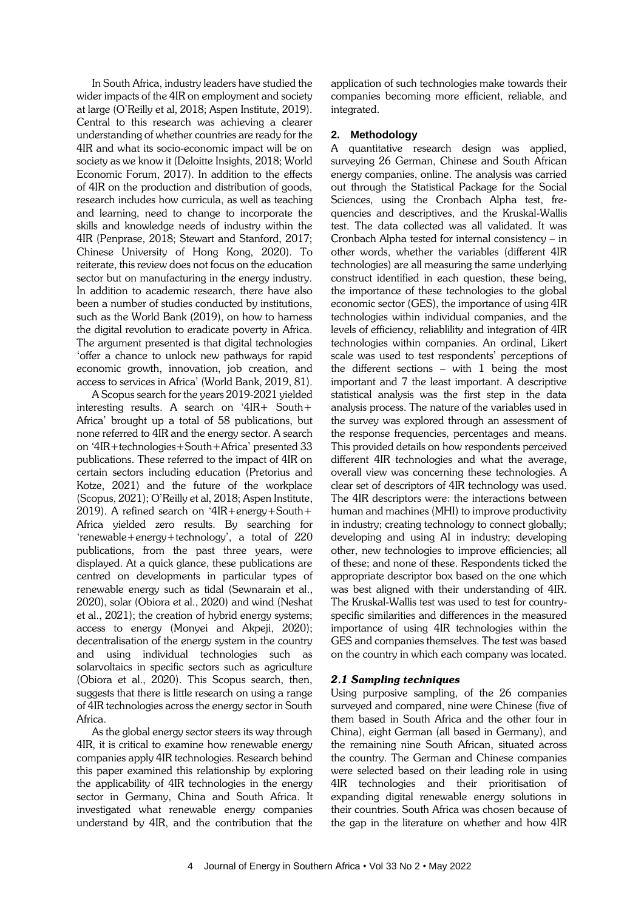In South Africa, industry leaders have studied the wider impacts of the 4IR on employment and society at large (O'Reilly et al, 2018; Aspen Institute, 2019). Central to this research was achieving a clearer understanding of whether countries are ready for the 4IR and what its socio-economic impact will be on society as we know it (Deloitte Insights, 2018; World Economic Forum, 2017). In addition to the effects of 4IR on the production and distribution of goods, research includes how curricula, as well as teaching and learning, need to change to incorporate the skills and knowledge needs of industry within the 4IR (Penprase, 2018; Stewart and Stanford, 2017; Chinese University of Hong Kong, 2020). To reiterate, this review does not focus on the education sector but on manufacturing in the energy industry. In addition to academic research, there have also been a number of studies conducted by institutions, such as the World Bank (2019), on how to harness the digital revolution to eradicate poverty in Africa. The argument presented is that digital technologies 'offer a chance to unlock new pathways for rapid economic growth, innovation, job creation, and access to services in Africa' (World Bank, 2019, 81).

A Scopus search for the years 2019-2021 yielded interesting results. A search on '4IR+ South+ Africa' brought up a total of 58 publications, but none referred to 4IR and the energy sector. A search on '4IR+technologies+South+Africa' presented 33 publications. These referred to the impact of 4IR on certain sectors including education (Pretorius and Kotze, 2021) and the future of the workplace (Scopus, 2021); O'Reilly et al, 2018; Aspen Institute, 2019). A refined search on '4IR+energy+South+ Africa yielded zero results. By searching for 'renewable+energy+technology', a total of 220 publications, from the past three years, were displayed. At a quick glance, these publications are centred on developments in particular types of renewable energy such as tidal (Sewnarain et al., 2020), solar (Obiora et al., 2020) and wind (Neshat et al., 2021); the creation of hybrid energy systems; access to energy (Monyei and Akpeji, 2020); decentralisation of the energy system in the country and using individual technologies such as solarvoltaics in specific sectors such as agriculture (Obiora et al., 2020). This Scopus search, then, suggests that there is little research on using a range of 4IR technologies across the energy sector in South Africa.

As the global energy sector steers its way through 4IR, it is critical to examine how renewable energy companies apply 4IR technologies. Research behind this paper examined this relationship by exploring the applicability of 4IR technologies in the energy sector in Germany, China and South Africa. It investigated what renewable energy companies understand by 4IR, and the contribution that the

application of such technologies make towards their companies becoming more efficient, reliable, and integrated.

### **2. Methodology**

A quantitative research design was applied, surveying 26 German, Chinese and South African energy companies, online. The analysis was carried out through the Statistical Package for the Social Sciences, using the Cronbach Alpha test, frequencies and descriptives, and the Kruskal-Wallis test. The data collected was all validated. It was Cronbach Alpha tested for internal consistency – in other words, whether the variables (different 4IR technologies) are all measuring the same underlying construct identified in each question, these being, the importance of these technologies to the global economic sector (GES), the importance of using 4IR technologies within individual companies, and the levels of efficiency, reliablility and integration of 4IR technologies within companies. An ordinal, Likert scale was used to test respondents' perceptions of the different sections – with 1 being the most important and 7 the least important. A descriptive statistical analysis was the first step in the data analysis process. The nature of the variables used in the survey was explored through an assessment of the response frequencies, percentages and means. This provided details on how respondents perceived different 4IR technologies and what the average, overall view was concerning these technologies. A clear set of descriptors of 4IR technology was used. The 4IR descriptors were: the interactions between human and machines (MHI) to improve productivity in industry; creating technology to connect globally; developing and using AI in industry; developing other, new technologies to improve efficiencies; all of these; and none of these. Respondents ticked the appropriate descriptor box based on the one which was best aligned with their understanding of 4IR. The Kruskal-Wallis test was used to test for countryspecific similarities and differences in the measured importance of using 4IR technologies within the GES and companies themselves. The test was based on the country in which each company was located.

## *2.1 Sampling techniques*

Using purposive sampling, of the 26 companies surveyed and compared, nine were Chinese (five of them based in South Africa and the other four in China), eight German (all based in Germany), and the remaining nine South African, situated across the country. The German and Chinese companies were selected based on their leading role in using 4IR technologies and their prioritisation of expanding digital renewable energy solutions in their countries. South Africa was chosen because of the gap in the literature on whether and how 4IR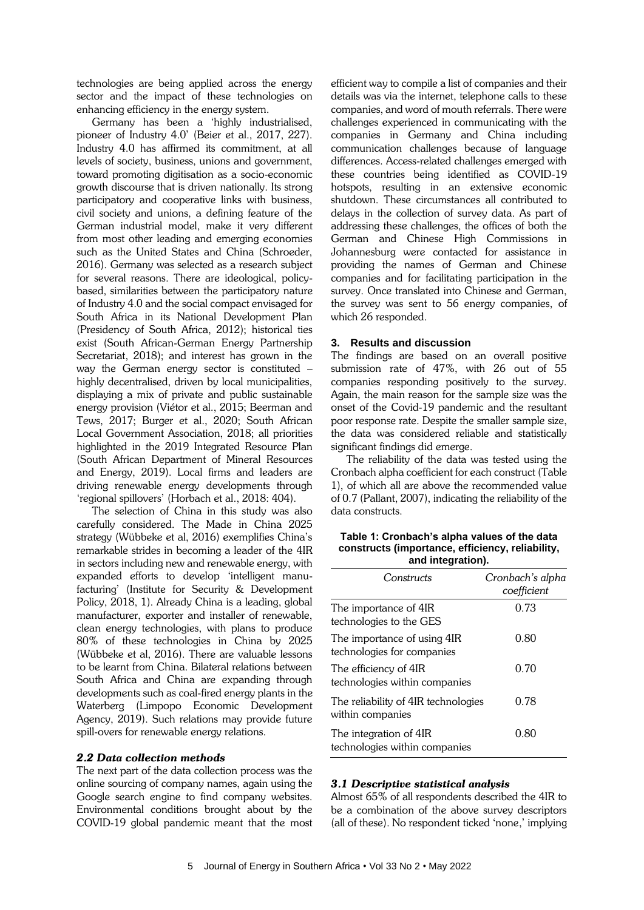technologies are being applied across the energy sector and the impact of these technologies on enhancing efficiency in the energy system.

Germany has been a 'highly industrialised, pioneer of Industry 4.0' (Beier et al., 2017, 227). Industry 4.0 has affirmed its commitment, at all levels of society, business, unions and government, toward promoting digitisation as a socio-economic growth discourse that is driven nationally. Its strong participatory and cooperative links with business, civil society and unions, a defining feature of the German industrial model, make it very different from most other leading and emerging economies such as the United States and China (Schroeder, 2016). Germany was selected as a research subject for several reasons. There are ideological, policybased, similarities between the participatory nature of Industry 4.0 and the social compact envisaged for South Africa in its National Development Plan (Presidency of South Africa, 2012); historical ties exist (South African-German Energy Partnership Secretariat, 2018); and interest has grown in the way the German energy sector is constituted – highly decentralised, driven by local municipalities, displaying a mix of private and public sustainable energy provision (Viétor et al., 2015; Beerman and Tews, 2017; Burger et al., 2020; South African Local Government Association, 2018; all priorities highlighted in the 2019 Integrated Resource Plan (South African Department of Mineral Resources and Energy, 2019). Local firms and leaders are driving renewable energy developments through 'regional spillovers' (Horbach et al., 2018: 404).

The selection of China in this study was also carefully considered. The Made in China 2025 strategy (Wübbeke et al, 2016) exemplifies China's remarkable strides in becoming a leader of the 4IR in sectors including new and renewable energy, with expanded efforts to develop 'intelligent manufacturing' (Institute for Security & Development Policy, 2018, 1). Already China is a leading, global manufacturer, exporter and installer of renewable, clean energy technologies, with plans to produce 80% of these technologies in China by 2025 (Wübbeke et al, 2016). There are valuable lessons to be learnt from China. Bilateral relations between South Africa and China are expanding through developments such as coal-fired energy plants in the Waterberg (Limpopo Economic Development Agency, 2019). Such relations may provide future spill-overs for renewable energy relations.

#### *2.2 Data collection methods*

The next part of the data collection process was the online sourcing of company names, again using the Google search engine to find company websites. Environmental conditions brought about by the COVID-19 global pandemic meant that the most

efficient way to compile a list of companies and their details was via the internet, telephone calls to these companies, and word of mouth referrals. There were challenges experienced in communicating with the companies in Germany and China including communication challenges because of language differences. Access-related challenges emerged with these countries being identified as COVID-19 hotspots, resulting in an extensive economic shutdown. These circumstances all contributed to delays in the collection of survey data. As part of addressing these challenges, the offices of both the German and Chinese High Commissions in Johannesburg were contacted for assistance in providing the names of German and Chinese companies and for facilitating participation in the survey. Once translated into Chinese and German, the survey was sent to 56 energy companies, of which 26 responded.

#### **3. Results and discussion**

The findings are based on an overall positive submission rate of 47%, with 26 out of 55 companies responding positively to the survey. Again, the main reason for the sample size was the onset of the Covid-19 pandemic and the resultant poor response rate. Despite the smaller sample size, the data was considered reliable and statistically significant findings did emerge.

The reliability of the data was tested using the Cronbach alpha coefficient for each construct (Table 1), of which all are above the recommended value of 0.7 (Pallant, 2007), indicating the reliability of the data constructs.

| Table 1: Cronbach's alpha values of the data     |
|--------------------------------------------------|
| constructs (importance, efficiency, reliability, |
| and integration).                                |

| Constructs                                                | Cronbach's alpha<br>coefficient |
|-----------------------------------------------------------|---------------------------------|
| The importance of 4IR<br>technologies to the GES          | 0.73                            |
| The importance of using 4IR<br>technologies for companies | 0.80                            |
| The efficiency of 4IR<br>technologies within companies    | 0.70                            |
| The reliability of 4IR technologies<br>within companies   | 0.78                            |
| The integration of 4IR<br>technologies within companies   | 0.80                            |

#### *3.1 Descriptive statistical analysis*

Almost 65% of all respondents described the 4IR to be a combination of the above survey descriptors (all of these). No respondent ticked 'none,' implying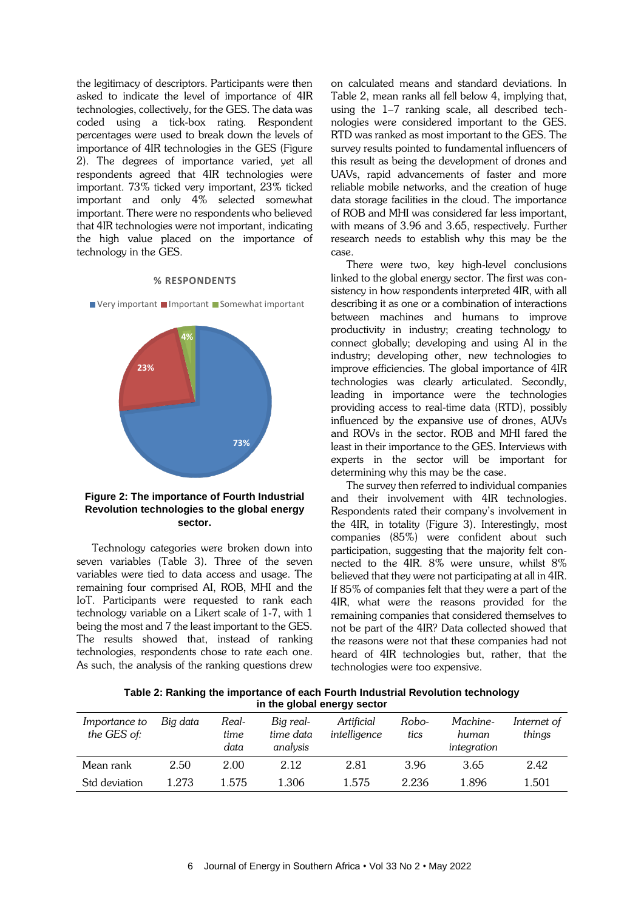the legitimacy of descriptors. Participants were then asked to indicate the level of importance of 4IR technologies, collectively, for the GES. The data was coded using a tick-box rating. Respondent percentages were used to break down the levels of importance of 4IR technologies in the GES (Figure 2). The degrees of importance varied, yet all respondents agreed that 4IR technologies were important. 73% ticked very important, 23% ticked important and only 4% selected somewhat important. There were no respondents who believed that 4IR technologies were not important, indicating the high value placed on the importance of technology in the GES.

#### **% RESPONDENTS**



**23%**



**Revolution technologies to the global energy sector.**

Technology categories were broken down into seven variables (Table 3). Three of the seven variables were tied to data access and usage. The remaining four comprised AI, ROB, MHI and the IoT. Participants were requested to rank each technology variable on a Likert scale of 1-7, with 1 being the most and 7 the least important to the GES. The results showed that, instead of ranking technologies, respondents chose to rate each one. As such, the analysis of the ranking questions drew on calculated means and standard deviations. In Table 2, mean ranks all fell below 4, implying that, using the 1–7 ranking scale, all described technologies were considered important to the GES. RTD was ranked as most important to the GES. The survey results pointed to fundamental influencers of this result as being the development of drones and UAVs, rapid advancements of faster and more reliable mobile networks, and the creation of huge data storage facilities in the cloud. The importance of ROB and MHI was considered far less important, with means of 3.96 and 3.65, respectively. Further research needs to establish why this may be the case.

There were two, key high-level conclusions linked to the global energy sector. The first was consistency in how respondents interpreted 4IR, with all describing it as one or a combination of interactions between machines and humans to improve productivity in industry; creating technology to connect globally; developing and using AI in the industry; developing other, new technologies to improve efficiencies. The global importance of 4IR technologies was clearly articulated. Secondly, leading in importance were the technologies providing access to real-time data (RTD), possibly influenced by the expansive use of drones, AUVs and ROVs in the sector. ROB and MHI fared the least in their importance to the GES. Interviews with experts in the sector will be important for determining why this may be the case.

The survey then referred to individual companies and their involvement with 4IR technologies. Respondents rated their company's involvement in the 4IR, in totality (Figure 3). Interestingly, most companies (85%) were confident about such participation, suggesting that the majority felt connected to the 4IR. 8% were unsure, whilst 8% believed that they were not participating at all in 4IR. If 85% of companies felt that they were a part of the 4IR, what were the reasons provided for the remaining companies that considered themselves to not be part of the 4IR? Data collected showed that the reasons were not that these companies had not heard of 4IR technologies but, rather, that the technologies were too expensive.

**Table 2: Ranking the importance of each Fourth Industrial Revolution technology in the global energy sector**

| Importance to<br>the GES of: | Big data | Real-<br>time<br>data | Big real-<br>time data<br>analysis | Artificial<br>intelligence | Robo-<br>tics | Machine-<br>human<br>integration | Internet of<br>things |
|------------------------------|----------|-----------------------|------------------------------------|----------------------------|---------------|----------------------------------|-----------------------|
| Mean rank                    | 2.50     | 2.00                  | 2.12                               | 2.81                       | 3.96          | 3.65                             | 2.42                  |
| Std deviation                | 1.273    | 1.575                 | 1.306                              | 1.575                      | 2.236         | 1.896                            | 1.501                 |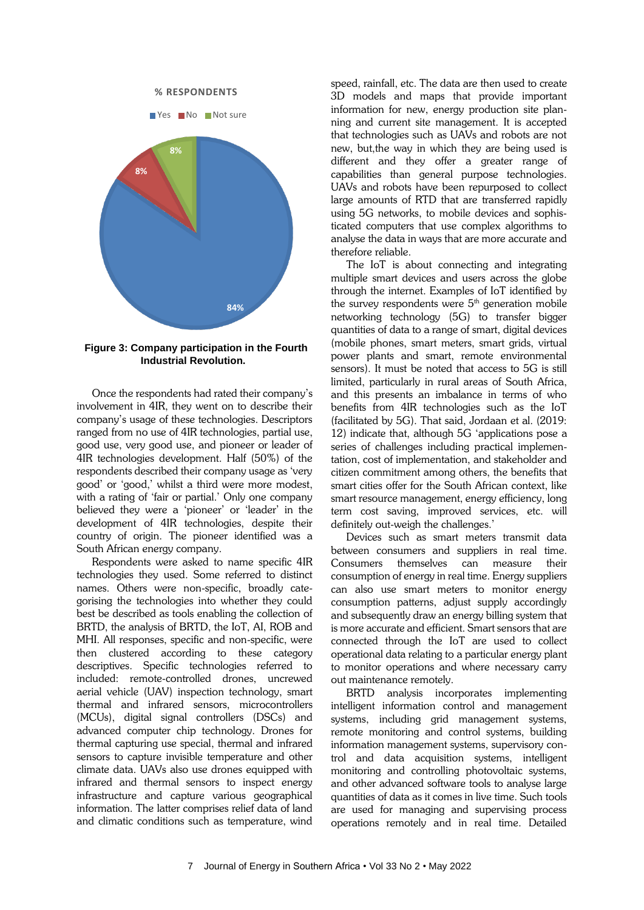

**Figure 3: Company participation in the Fourth Industrial Revolution.**

Once the respondents had rated their company's involvement in 4IR, they went on to describe their company's usage of these technologies. Descriptors ranged from no use of 4IR technologies, partial use, good use, very good use, and pioneer or leader of 4IR technologies development. Half (50%) of the respondents described their company usage as 'very good' or 'good,' whilst a third were more modest, with a rating of 'fair or partial.' Only one company believed they were a 'pioneer' or 'leader' in the development of 4IR technologies, despite their country of origin. The pioneer identified was a South African energy company.

Respondents were asked to name specific 4IR technologies they used. Some referred to distinct names. Others were non-specific, broadly categorising the technologies into whether they could best be described as tools enabling the collection of BRTD, the analysis of BRTD, the IoT, AI, ROB and MHI. All responses, specific and non-specific, were then clustered according to these category descriptives. Specific technologies referred to included: remote-controlled drones, uncrewed aerial vehicle (UAV) inspection technology, smart thermal and infrared sensors, microcontrollers (MCUs), digital signal controllers (DSCs) and advanced computer chip technology. Drones for thermal capturing use special, thermal and infrared sensors to capture invisible temperature and other climate data. UAVs also use drones equipped with infrared and thermal sensors to inspect energy infrastructure and capture various geographical information. The latter comprises relief data of land and climatic conditions such as temperature, wind

speed, rainfall, etc. The data are then used to create 3D models and maps that provide important information for new, energy production site planning and current site management. It is accepted that technologies such as UAVs and robots are not new, but,the way in which they are being used is different and they offer a greater range of capabilities than general purpose technologies. UAVs and robots have been repurposed to collect large amounts of RTD that are transferred rapidly using 5G networks, to mobile devices and sophisticated computers that use complex algorithms to analyse the data in ways that are more accurate and therefore reliable.

The IoT is about connecting and integrating multiple smart devices and users across the globe through the internet. Examples of IoT identified by the survey respondents were  $5<sup>th</sup>$  generation mobile networking technology (5G) to transfer bigger quantities of data to a range of smart, digital devices (mobile phones, smart meters, smart grids, virtual power plants and smart, remote environmental sensors). It must be noted that access to 5G is still limited, particularly in rural areas of South Africa, and this presents an imbalance in terms of who benefits from 4IR technologies such as the IoT (facilitated by 5G). That said, Jordaan et al. (2019: 12) indicate that, although 5G 'applications pose a series of challenges including practical implementation, cost of implementation, and stakeholder and citizen commitment among others, the benefits that smart cities offer for the South African context, like smart resource management, energy efficiency, long term cost saving, improved services, etc. will definitely out-weigh the challenges.'

Devices such as smart meters transmit data between consumers and suppliers in real time. Consumers themselves can measure their consumption of energy in real time. Energy suppliers can also use smart meters to monitor energy consumption patterns, adjust supply accordingly and subsequently draw an energy billing system that is more accurate and efficient. Smart sensors that are connected through the IoT are used to collect operational data relating to a particular energy plant to monitor operations and where necessary carry out maintenance remotely.

BRTD analysis incorporates implementing intelligent information control and management systems, including grid management systems, remote monitoring and control systems, building information management systems, supervisory control and data acquisition systems, intelligent monitoring and controlling photovoltaic systems, and other advanced software tools to analyse large quantities of data as it comes in live time. Such tools are used for managing and supervising process operations remotely and in real time. Detailed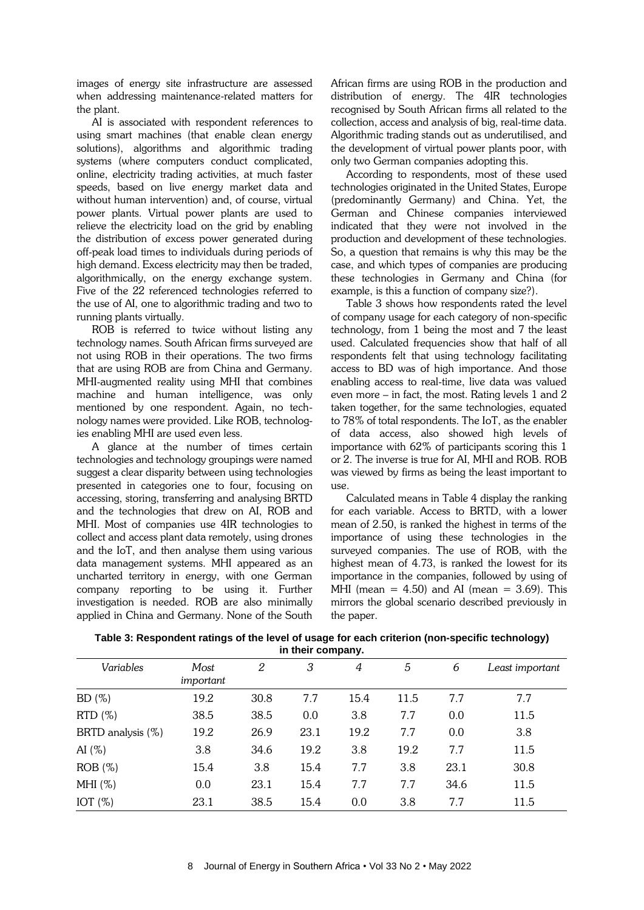images of energy site infrastructure are assessed when addressing maintenance-related matters for the plant.

AI is associated with respondent references to using smart machines (that enable clean energy solutions), algorithms and algorithmic trading systems (where computers conduct complicated, online, electricity trading activities, at much faster speeds, based on live energy market data and without human intervention) and, of course, virtual power plants. Virtual power plants are used to relieve the electricity load on the grid by enabling the distribution of excess power generated during off-peak load times to individuals during periods of high demand. Excess electricity may then be traded, algorithmically, on the energy exchange system. Five of the 22 referenced technologies referred to the use of AI, one to algorithmic trading and two to running plants virtually.

ROB is referred to twice without listing any technology names. South African firms surveyed are not using ROB in their operations. The two firms that are using ROB are from China and Germany. MHI-augmented reality using MHI that combines machine and human intelligence, was only mentioned by one respondent. Again, no technology names were provided. Like ROB, technologies enabling MHI are used even less.

A glance at the number of times certain technologies and technology groupings were named suggest a clear disparity between using technologies presented in categories one to four, focusing on accessing, storing, transferring and analysing BRTD and the technologies that drew on AI, ROB and MHI. Most of companies use 4IR technologies to collect and access plant data remotely, using drones and the IoT, and then analyse them using various data management systems. MHI appeared as an uncharted territory in energy, with one German company reporting to be using it. Further investigation is needed. ROB are also minimally applied in China and Germany. None of the South African firms are using ROB in the production and distribution of energy. The 4IR technologies recognised by South African firms all related to the collection, access and analysis of big, real-time data. Algorithmic trading stands out as underutilised, and the development of virtual power plants poor, with only two German companies adopting this.

According to respondents, most of these used technologies originated in the United States, Europe (predominantly Germany) and China. Yet, the German and Chinese companies interviewed indicated that they were not involved in the production and development of these technologies. So, a question that remains is why this may be the case, and which types of companies are producing these technologies in Germany and China (for example, is this a function of company size?).

Table 3 shows how respondents rated the level of company usage for each category of non-specific technology, from 1 being the most and 7 the least used. Calculated frequencies show that half of all respondents felt that using technology facilitating access to BD was of high importance. And those enabling access to real-time, live data was valued even more – in fact, the most. Rating levels 1 and 2 taken together, for the same technologies, equated to 78% of total respondents. The IoT, as the enabler of data access, also showed high levels of importance with 62% of participants scoring this 1 or 2. The inverse is true for AI, MHI and ROB. ROB was viewed by firms as being the least important to use.

Calculated means in Table 4 display the ranking for each variable. Access to BRTD, with a lower mean of 2.50, is ranked the highest in terms of the importance of using these technologies in the surveyed companies. The use of ROB, with the highest mean of 4.73, is ranked the lowest for its importance in the companies, followed by using of MHI (mean = 4.50) and AI (mean = 3.69). This mirrors the global scenario described previously in the paper.

**Table 3: Respondent ratings of the level of usage for each criterion (non-specific technology) in their company.**

| Variables         | Most<br>important | 2    | 3    | 4    | 5    | 6    | Least important |
|-------------------|-------------------|------|------|------|------|------|-----------------|
| BD(%)             | 19.2              | 30.8 | 7.7  | 15.4 | 11.5 | 7.7  | 7.7             |
| $RTD(\%)$         | 38.5              | 38.5 | 0.0  | 3.8  | 7.7  | 0.0  | 11.5            |
| BRTD analysis (%) | 19.2              | 26.9 | 23.1 | 19.2 | 7.7  | 0.0  | 3.8             |
| AI $(\%)$         | 3.8               | 34.6 | 19.2 | 3.8  | 19.2 | 7.7  | 11.5            |
| $ROB (\%)$        | 15.4              | 3.8  | 15.4 | 7.7  | 3.8  | 23.1 | 30.8            |
| MHI $(\%)$        | 0.0               | 23.1 | 15.4 | 7.7  | 7.7  | 34.6 | 11.5            |
| IOT $(\%)$        | 23.1              | 38.5 | 15.4 | 0.0  | 3.8  | 7.7  | 11.5            |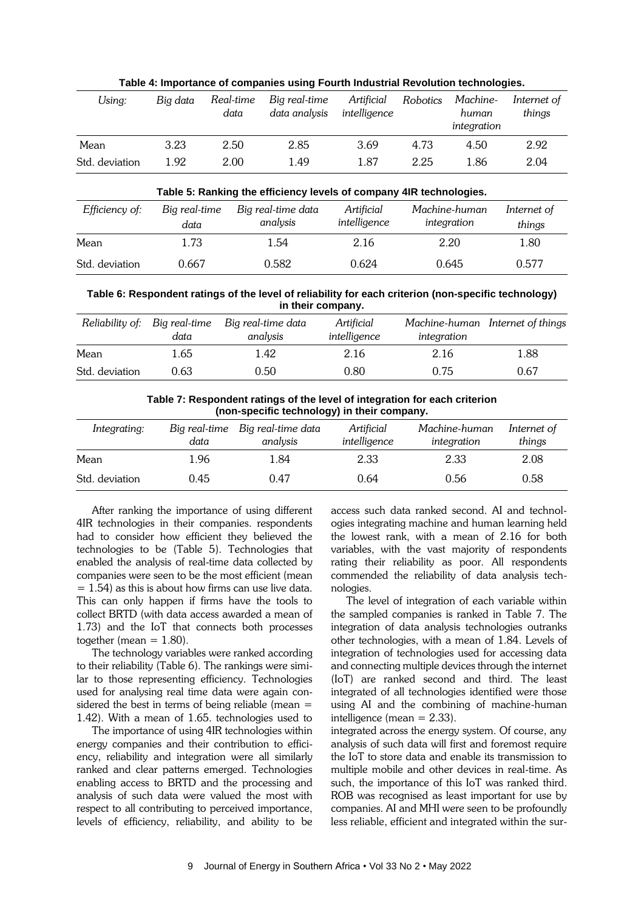| Using:         | Big data | Real-time<br>data | Big real-time<br>data analysis                                      | Artificial<br>intelligence | Robotics | Machine-<br>human<br>integration | Internet of<br>things |
|----------------|----------|-------------------|---------------------------------------------------------------------|----------------------------|----------|----------------------------------|-----------------------|
| Mean           | 3.23     | 2.50              | 2.85                                                                | 3.69                       | 4.73     | 4.50                             | 2.92                  |
| Std. deviation | 1.92     | 2.00              | 1.49                                                                | 1.87                       | 2.25     | 1.86                             | 2.04                  |
|                |          |                   | Table 5: Ranking the efficiency levels of company 4IR technologies. |                            |          |                                  |                       |

**Table 4: Importance of companies using Fourth Industrial Revolution technologies.**

|                | Table 5: Ranking the efficiency levels of company 4IR technologies. |                                |                            |                              |                       |
|----------------|---------------------------------------------------------------------|--------------------------------|----------------------------|------------------------------|-----------------------|
| Efficiency of: | Big real-time<br>data                                               | Big real-time data<br>analysis | Artificial<br>intelligence | Machine-human<br>integration | Internet of<br>things |
| Mean           | 1.73                                                                | 1.54                           | 2.16                       | 2.20                         | 1.80                  |
| Std. deviation | 0.667                                                               | 0.582                          | 0.624                      | 0.645                        | 0.577                 |

**Table 6: Respondent ratings of the level of reliability for each criterion (non-specific technology) in their company.**

|                | Reliability of: Big real-time<br>data | Big real-time data<br>analysis | Artificial<br>intelligence | integration | Machine-human Internet of things |
|----------------|---------------------------------------|--------------------------------|----------------------------|-------------|----------------------------------|
| Mean           | 1.65                                  | 1.42                           | 2.16                       | 2.16        | 1.88                             |
| Std. deviation | 0.63                                  | 0.50                           | 0.80                       | 0.75        | 0.67                             |

**Table 7: Respondent ratings of the level of integration for each criterion (non-specific technology) in their company.**

| Integrating:   | Big real-time<br>data | Big real-time data<br>analysis | Artificial<br>intelligence | Machine-human<br>integration | Internet of<br>things |
|----------------|-----------------------|--------------------------------|----------------------------|------------------------------|-----------------------|
| Mean           | 1.96                  | 1.84                           | 2.33                       | 2.33                         | 2.08                  |
| Std. deviation | 0.45                  | 0.47                           | 0.64                       | 0.56                         | 0.58                  |

After ranking the importance of using different 4IR technologies in their companies. respondents had to consider how efficient they believed the technologies to be (Table 5). Technologies that enabled the analysis of real-time data collected by companies were seen to be the most efficient (mean  $= 1.54$ ) as this is about how firms can use live data. This can only happen if firms have the tools to collect BRTD (with data access awarded a mean of 1.73) and the IoT that connects both processes together (mean  $= 1.80$ ).

The technology variables were ranked according to their reliability (Table 6). The rankings were similar to those representing efficiency. Technologies used for analysing real time data were again considered the best in terms of being reliable (mean  $=$ 1.42). With a mean of 1.65. technologies used to

The importance of using 4IR technologies within energy companies and their contribution to efficiency, reliability and integration were all similarly ranked and clear patterns emerged. Technologies enabling access to BRTD and the processing and analysis of such data were valued the most with respect to all contributing to perceived importance, levels of efficiency, reliability, and ability to be access such data ranked second. AI and technologies integrating machine and human learning held the lowest rank, with a mean of 2.16 for both variables, with the vast majority of respondents rating their reliability as poor. All respondents commended the reliability of data analysis technologies.

The level of integration of each variable within the sampled companies is ranked in Table 7. The integration of data analysis technologies outranks other technologies, with a mean of 1.84. Levels of integration of technologies used for accessing data and connecting multiple devices through the internet (IoT) are ranked second and third. The least integrated of all technologies identified were those using AI and the combining of machine-human intelligence (mean = 2.33).

integrated across the energy system. Of course, any analysis of such data will first and foremost require the IoT to store data and enable its transmission to multiple mobile and other devices in real-time. As such, the importance of this IoT was ranked third. ROB was recognised as least important for use by companies. AI and MHI were seen to be profoundly less reliable, efficient and integrated within the sur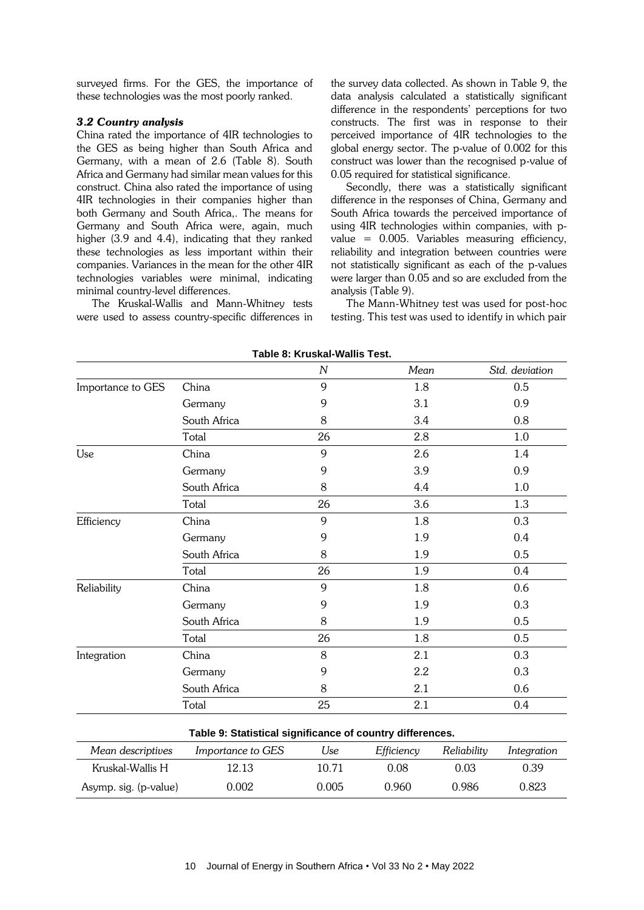surveyed firms. For the GES, the importance of these technologies was the most poorly ranked.

#### *3.2 Country analysis*

China rated the importance of 4IR technologies to the GES as being higher than South Africa and Germany, with a mean of 2.6 (Table 8). South Africa and Germany had similar mean values for this construct. China also rated the importance of using 4IR technologies in their companies higher than both Germany and South Africa,. The means for Germany and South Africa were, again, much higher (3.9 and 4.4), indicating that they ranked these technologies as less important within their companies. Variances in the mean for the other 4IR technologies variables were minimal, indicating minimal country-level differences.

The Kruskal-Wallis and Mann-Whitney tests were used to assess country-specific differences in the survey data collected. As shown in Table 9, the data analysis calculated a statistically significant difference in the respondents' perceptions for two constructs. The first was in response to their perceived importance of 4IR technologies to the global energy sector. The p-value of 0.002 for this construct was lower than the recognised p-value of 0.05 required for statistical significance.

Secondly, there was a statistically significant difference in the responses of China, Germany and South Africa towards the perceived importance of using 4IR technologies within companies, with pvalue = 0.005. Variables measuring efficiency, reliability and integration between countries were not statistically significant as each of the p-values were larger than 0.05 and so are excluded from the analysis (Table 9).

The Mann-Whitney test was used for post-hoc testing. This test was used to identify in which pair

|                       |                                                           | $\boldsymbol{N}$ | Mean       |             | Std. deviation |
|-----------------------|-----------------------------------------------------------|------------------|------------|-------------|----------------|
| Importance to GES     | China                                                     | 9                | 1.8        |             | 0.5            |
|                       | Germany                                                   | 9                | 3.1        |             | 0.9            |
|                       | South Africa                                              | 8                | 3.4        |             | 0.8            |
|                       | Total                                                     | 26               | 2.8        |             | 1.0            |
| Use                   | China                                                     | 9                | 2.6        |             | 1.4            |
|                       | Germany                                                   | 9                | 3.9        |             | 0.9            |
|                       | South Africa                                              | 8                | 4.4        |             | 1.0            |
|                       | Total                                                     | 26               | 3.6        |             | 1.3            |
| Efficiency            | China                                                     | 9                | 1.8        |             | 0.3            |
|                       | Germany                                                   | 9                | 1.9        |             | 0.4            |
|                       | South Africa                                              | 8                | 1.9        |             | 0.5            |
|                       | Total                                                     | 26               | 1.9        |             | 0.4            |
| Reliability           | China                                                     | 9                | 1.8        |             | 0.6            |
|                       | Germany                                                   | 9                | 1.9        |             | 0.3            |
|                       | South Africa                                              | 8                | 1.9        |             | 0.5            |
|                       | Total                                                     | 26               | 1.8        |             | 0.5            |
| Integration           | China                                                     | 8                | 2.1        |             | 0.3            |
|                       | Germany                                                   | 9                | 2.2        |             | 0.3            |
|                       | South Africa                                              | 8                | 2.1        |             | 0.6            |
|                       | Total                                                     | 25               | 2.1        |             | 0.4            |
|                       | Table 9: Statistical significance of country differences. |                  |            |             |                |
| Mean descriptives     | Importance to GES                                         | Use              | Efficiency | Reliability | Integration    |
| Kruskal-Wallis H      | 12.13                                                     | 10.71            | 0.08       | 0.03        | 0.39           |
| Asymp. sig. (p-value) | 0.002                                                     | 0.005            | 0.960      | 0.986       | 0.823          |

**Table 8: Kruskal-Wallis Test.**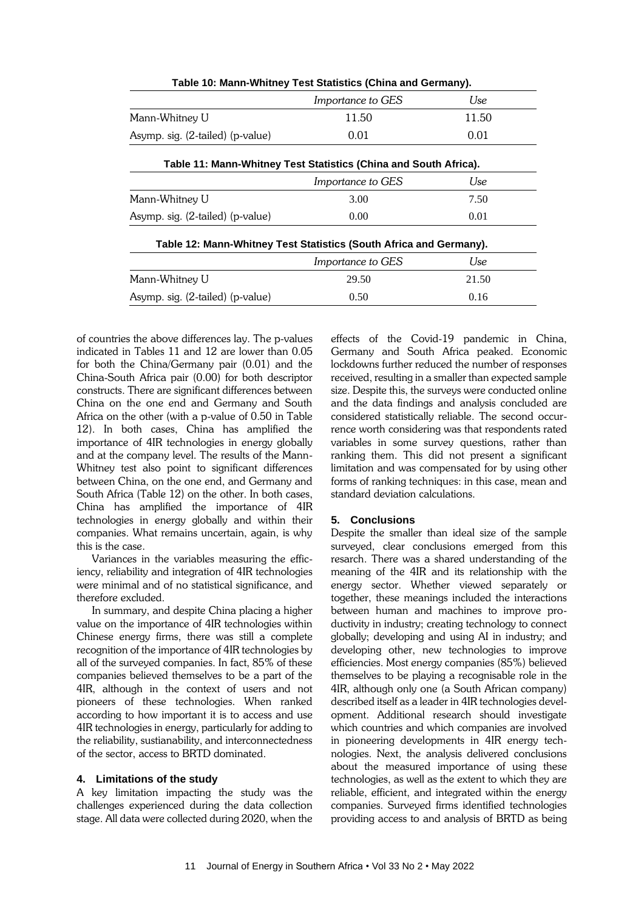|                                  | Table 10: Mann-Whitney Test Statistics (China and Germany).        |       |
|----------------------------------|--------------------------------------------------------------------|-------|
|                                  | Importance to GES                                                  | Use   |
| Mann-Whitney U                   | 11.50                                                              | 11.50 |
| Asymp. sig. (2-tailed) (p-value) | 0.01                                                               | 0.01  |
|                                  | Table 11: Mann-Whitney Test Statistics (China and South Africa).   |       |
|                                  | <i>Importance to GES</i>                                           | Use   |
| Mann-Whitney U                   | 3.00                                                               | 7.50  |
| Asymp. sig. (2-tailed) (p-value) | 0.00                                                               | 0.01  |
|                                  | Table 12: Mann-Whitney Test Statistics (South Africa and Germany). |       |
|                                  | Importance to GES                                                  | Use   |
| Mann-Whitney U                   | 29.50                                                              | 21.50 |
| Asymp. sig. (2-tailed) (p-value) | 0.50                                                               | 0.16  |
|                                  |                                                                    |       |

**Table 10: Mann-Whitney Test Statistics (China and Germany).**

of countries the above differences lay. The p-values indicated in Tables 11 and 12 are lower than 0.05 for both the China/Germany pair (0.01) and the China-South Africa pair (0.00) for both descriptor constructs. There are significant differences between China on the one end and Germany and South Africa on the other (with a p-value of 0.50 in Table 12). In both cases, China has amplified the importance of 4IR technologies in energy globally and at the company level. The results of the Mann-Whitney test also point to significant differences between China, on the one end, and Germany and South Africa (Table 12) on the other. In both cases, China has amplified the importance of 4IR technologies in energy globally and within their companies. What remains uncertain, again, is why this is the case.

Variances in the variables measuring the efficiency, reliability and integration of 4IR technologies were minimal and of no statistical significance, and therefore excluded.

In summary, and despite China placing a higher value on the importance of 4IR technologies within Chinese energy firms, there was still a complete recognition of the importance of 4IR technologies by all of the surveyed companies. In fact, 85% of these companies believed themselves to be a part of the 4IR, although in the context of users and not pioneers of these technologies. When ranked according to how important it is to access and use 4IR technologies in energy, particularly for adding to the reliability, sustianability, and interconnectedness of the sector, access to BRTD dominated.

## **4. Limitations of the study**

A key limitation impacting the study was the challenges experienced during the data collection stage. All data were collected during 2020, when the effects of the Covid-19 pandemic in China, Germany and South Africa peaked. Economic lockdowns further reduced the number of responses received, resulting in a smaller than expected sample size. Despite this, the surveys were conducted online and the data findings and analysis concluded are considered statistically reliable. The second occurrence worth considering was that respondents rated variables in some survey questions, rather than ranking them. This did not present a significant limitation and was compensated for by using other forms of ranking techniques: in this case, mean and standard deviation calculations.

## **5. Conclusions**

Despite the smaller than ideal size of the sample surveyed, clear conclusions emerged from this resarch. There was a shared understanding of the meaning of the 4IR and its relationship with the energy sector. Whether viewed separately or together, these meanings included the interactions between human and machines to improve productivity in industry; creating technology to connect globally; developing and using AI in industry; and developing other, new technologies to improve efficiencies. Most energy companies (85%) believed themselves to be playing a recognisable role in the 4IR, although only one (a South African company) described itself as a leader in 4IR technologies development. Additional research should investigate which countries and which companies are involved in pioneering developments in 4IR energy technologies. Next, the analysis delivered conclusions about the measured importance of using these technologies, as well as the extent to which they are reliable, efficient, and integrated within the energy companies. Surveyed firms identified technologies providing access to and analysis of BRTD as being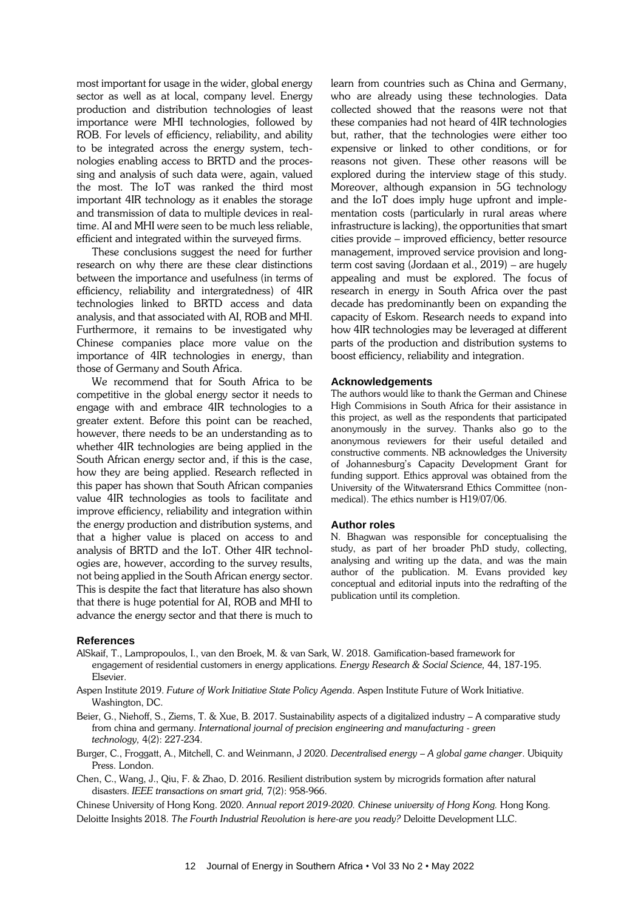most important for usage in the wider, global energy sector as well as at local, company level. Energy production and distribution technologies of least importance were MHI technologies, followed by ROB. For levels of efficiency, reliability, and ability to be integrated across the energy system, technologies enabling access to BRTD and the processing and analysis of such data were, again, valued the most. The IoT was ranked the third most important 4IR technology as it enables the storage and transmission of data to multiple devices in realtime. AI and MHI were seen to be much less reliable, efficient and integrated within the surveyed firms.

These conclusions suggest the need for further research on why there are these clear distinctions between the importance and usefulness (in terms of efficiency, reliability and intergratedness) of 4IR technologies linked to BRTD access and data analysis, and that associated with AI, ROB and MHI. Furthermore, it remains to be investigated why Chinese companies place more value on the importance of 4IR technologies in energy, than those of Germany and South Africa.

We recommend that for South Africa to be competitive in the global energy sector it needs to engage with and embrace 4IR technologies to a greater extent. Before this point can be reached, however, there needs to be an understanding as to whether 4IR technologies are being applied in the South African energy sector and, if this is the case, how they are being applied. Research reflected in this paper has shown that South African companies value 4IR technologies as tools to facilitate and improve efficiency, reliability and integration within the energy production and distribution systems, and that a higher value is placed on access to and analysis of BRTD and the IoT. Other 4IR technologies are, however, according to the survey results, not being applied in the South African energy sector. This is despite the fact that literature has also shown that there is huge potential for AI, ROB and MHI to advance the energy sector and that there is much to learn from countries such as China and Germany, who are already using these technologies. Data collected showed that the reasons were not that these companies had not heard of 4IR technologies but, rather, that the technologies were either too expensive or linked to other conditions, or for reasons not given. These other reasons will be explored during the interview stage of this study. Moreover, although expansion in 5G technology and the IoT does imply huge upfront and implementation costs (particularly in rural areas where infrastructure is lacking), the opportunities that smart cities provide – improved efficiency, better resource management, improved service provision and longterm cost saving (Jordaan et al., 2019) – are hugely appealing and must be explored. The focus of research in energy in South Africa over the past decade has predominantly been on expanding the capacity of Eskom. Research needs to expand into how 4IR technologies may be leveraged at different parts of the production and distribution systems to boost efficiency, reliability and integration.

#### **Acknowledgements**

The authors would like to thank the German and Chinese High Commisions in South Africa for their assistance in this project, as well as the respondents that participated anonymously in the survey. Thanks also go to the anonymous reviewers for their useful detailed and constructive comments. NB acknowledges the University of Johannesburg's Capacity Development Grant for funding support. Ethics approval was obtained from the University of the Witwatersrand Ethics Committee (nonmedical). The ethics number is H19/07/06.

#### **Author roles**

N. Bhagwan was responsible for conceptualising the study, as part of her broader PhD study, collecting, analysing and writing up the data, and was the main author of the publication. M. Evans provided key conceptual and editorial inputs into the redrafting of the publication until its completion.

#### **References**

- AlSkaif, T., Lampropoulos, I., van den Broek, M. & van Sark, W. 2018. Gamification-based framework for engagement of residential customers in energy applications. *Energy Research & Social Science,* 44, 187-195. Elsevier.
- Aspen Institute 2019. *Future of Work Initiative State Policy Agenda*. Aspen Institute Future of Work Initiative. Washington, DC.
- Beier, G., Niehoff, S., Ziems, T. & Xue, B. 2017. Sustainability aspects of a digitalized industry A comparative study from china and germany. *International journal of precision engineering and manufacturing - green technology,* 4(2): 227-234.
- Burger, C., Froggatt, A., Mitchell, C. and Weinmann, J 2020. *Decentralised energy – A global game changer*. Ubiquity Press. London.
- Chen, C., Wang, J., Qiu, F. & Zhao, D. 2016. Resilient distribution system by microgrids formation after natural disasters. *IEEE transactions on smart grid,* 7(2): 958-966.

Chinese University of Hong Kong. 2020. *Annual report 2019-2020. Chinese university of Hong Kong.* Hong Kong. Deloitte Insights 2018. *The Fourth Industrial Revolution is here-are you ready?* Deloitte Development LLC.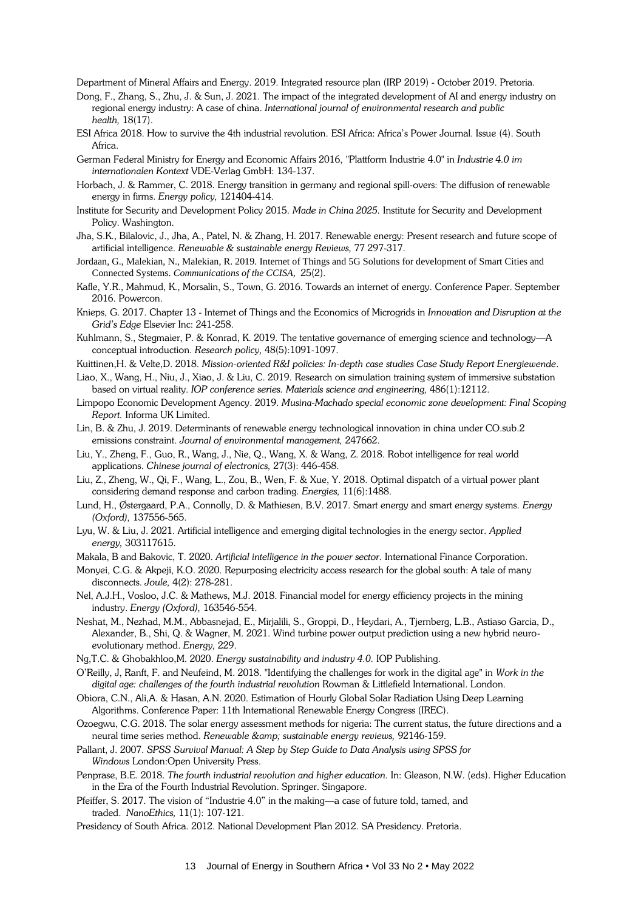Department of Mineral Affairs and Energy. 2019. Integrated resource plan (IRP 2019) - October 2019. Pretoria.

- Dong, F., Zhang, S., Zhu, J. & Sun, J. 2021. The impact of the integrated development of AI and energy industry on regional energy industry: A case of china. *International journal of environmental research and public health,* 18(17).
- ESI Africa 2018. How to survive the 4th industrial revolution. ESI Africa: Africa's Power Journal. Issue (4). South Africa.
- German Federal Ministry for Energy and Economic Affairs 2016, "Plattform Industrie 4.0" in *Industrie 4.0 im internationalen Kontext* VDE-Verlag GmbH: 134-137.
- Horbach, J. & Rammer, C. 2018. Energy transition in germany and regional spill-overs: The diffusion of renewable energy in firms. *Energy policy,* 121404-414.
- Institute for Security and Development Policy 2015. *Made in China 2025.* Institute for Security and Development Policy. Washington.
- Jha, S.K., Bilalovic, J., Jha, A., Patel, N. & Zhang, H. 2017. Renewable energy: Present research and future scope of artificial intelligence. *Renewable & sustainable energy Reviews,* 77 297-317.
- Jordaan, G., Malekian, N., Malekian, R. 2019. Internet of Things and 5G Solutions for development of Smart Cities and Connected Systems. *Communications of the CCISA,* 25(2).
- Kafle, Y.R., Mahmud, K., Morsalin, S., Town, G. 2016. Towards an internet of energy. Conference Paper. September 2016. Powercon.
- Knieps, G. 2017. Chapter 13 Internet of Things and the Economics of Microgrids in *Innovation and Disruption at the Grid's Edge* Elsevier Inc: 241-258.
- Kuhlmann, S., Stegmaier, P. & Konrad, K. 2019. The tentative governance of emerging science and technology—A conceptual introduction. *Research policy,* 48(5):1091-1097.
- Kuittinen,H. & Velte,D. 2018. *Mission-oriented R&I policies: In-depth case studies Case Study Report Energiewende*.
- Liao, X., Wang, H., Niu, J., Xiao, J. & Liu, C. 2019. Research on simulation training system of immersive substation based on virtual reality. *IOP conference series. Materials science and engineering,* 486(1):12112.
- Limpopo Economic Development Agency. 2019. *Musina-Machado special economic zone development: Final Scoping Report.* Informa UK Limited.
- Lin, B. & Zhu, J. 2019. Determinants of renewable energy technological innovation in china under CO.sub.2 emissions constraint. *Journal of environmental management,* 247662.
- Liu, Y., Zheng, F., Guo, R., Wang, J., Nie, Q., Wang, X. & Wang, Z. 2018. Robot intelligence for real world applications. *Chinese journal of electronics,* 27(3): 446-458.
- Liu, Z., Zheng, W., Qi, F., Wang, L., Zou, B., Wen, F. & Xue, Y. 2018. Optimal dispatch of a virtual power plant considering demand response and carbon trading. *Energies,* 11(6):1488.
- Lund, H., Østergaard, P.A., Connolly, D. & Mathiesen, B.V. 2017. Smart energy and smart energy systems. *Energy (Oxford),* 137556-565.
- Lyu, W. & Liu, J. 2021. Artificial intelligence and emerging digital technologies in the energy sector. *Applied energy,* 303117615.
- Makala, B and Bakovic, T. 2020. *Artificial intelligence in the power sector.* International Finance Corporation.
- Monyei, C.G. & Akpeji, K.O. 2020. Repurposing electricity access research for the global south: A tale of many disconnects. *Joule,* 4(2): 278-281.
- Nel, A.J.H., Vosloo, J.C. & Mathews, M.J. 2018. Financial model for energy efficiency projects in the mining industry. *Energy (Oxford),* 163546-554.
- Neshat, M., Nezhad, M.M., Abbasnejad, E., Mirjalili, S., Groppi, D., Heydari, A., Tjernberg, L.B., Astiaso Garcia, D., Alexander, B., Shi, Q. & Wagner, M. 2021. Wind turbine power output prediction using a new hybrid neuroevolutionary method. *Energy,* 229.
- Ng,T.C. & Ghobakhloo,M. 2020. *Energy sustainability and industry 4.0.* IOP Publishing.
- O'Reilly, J, Ranft, F. and Neufeind, M. 2018. "Identifying the challenges for work in the digital age" in *Work in the digital age: challenges of the fourth industrial revolution* Rowman & Littlefield International. London.
- Obiora, C.N., Ali,A. & Hasan, A.N. 2020. Estimation of Hourly Global Solar Radiation Using Deep Learning Algorithms. Conference Paper: 11th International Renewable Energy Congress (IREC).
- Ozoegwu, C.G. 2018. The solar energy assessment methods for nigeria: The current status, the future directions and a neural time series method. *Renewable & sustainable energy reviews,* 92146-159.
- Pallant, J. 2007. *SPSS Survival Manual: A Step by Step Guide to Data Analysis using SPSS for Windows* London:Open University Press.
- Penprase, B.E. 2018. *The fourth industrial revolution and higher education.* In: Gleason, N.W. (eds). Higher Education in the Era of the Fourth Industrial Revolution. Springer. Singapore.
- Pfeiffer, S. 2017. The vision of "Industrie 4.0" in the making—a case of future told, tamed, and traded. *NanoEthics,* 11(1): 107-121.
- Presidency of South Africa. 2012. National Development Plan 2012. SA Presidency. Pretoria.